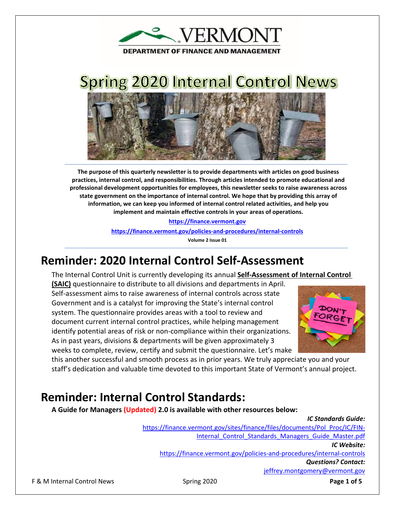**EXPERMONT** 

**DEPARTMENT OF FINANCE AND MANAGEMENT** 

# **Spring 2020 Internal Control News**



**The purpose of this quarterly newsletter is to provide departments with articles on good business practices, internal control, and responsibilities. Through articles intended to promote educational and professional development opportunities for employees, this newsletter seeks to raise awareness across state government on the importance of internal control. We hope that by providing this array of information, we can keep you informed of internal control related activities, and help you implement and maintain effective controls in your areas of operations.**

> **[https://finance.vermont.gov](https://finance.vermont.gov/) <https://finance.vermont.gov/policies-and-procedures/internal-controls> Volume 2 Issue 01**

### **Reminder: 2020 Internal Control Self-Assessment**

The Internal Control Unit is currently developing its annual **Self-Assessment of Internal Control** 

**(SAIC)** questionnaire to distribute to all divisions and departments in April. Self-assessment aims to raise awareness of internal controls across state Government and is a catalyst for improving the State's internal control system. The questionnaire provides areas with a tool to review and document current internal control practices, while helping management identify potential areas of risk or non-compliance within their organizations. As in past years, divisions & departments will be given approximately 3 weeks to complete, review, certify and submit the questionnaire. Let's make



this another successful and smooth process as in prior years. We truly appreciate you and your staff's dedication and valuable time devoted to this important State of Vermont's annual project.

### **Reminder: Internal Control Standards:**

**A Guide for Managers (Updated) 2.0 is available with other resources below:** 

*IC Standards Guide:* [https://finance.vermont.gov/sites/finance/files/documents/Pol\\_Proc/IC/FIN-](https://finance.vermont.gov/sites/finance/files/documents/Pol_Proc/IC/FIN-Internal_Control_Standards_Managers_Guide_Master.pdf)Internal Control Standards Managers Guide Master.pdf *IC Website:* <https://finance.vermont.gov/policies-and-procedures/internal-controls> *Questions? Contact:* [jeffrey.montgomery@vermont.gov](mailto:jeffrey.montgomery@vermont.gov)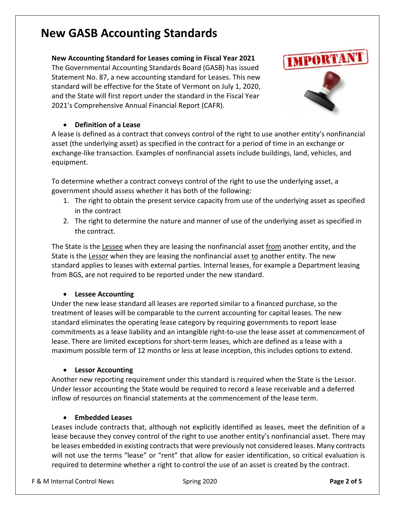### **New GASB Accounting Standards**

#### **New Accounting Standard for Leases coming in Fiscal Year 2021**

The Governmental Accounting Standards Board (GASB) has issued Statement No. 87, a new accounting standard for Leases. This new standard will be effective for the State of Vermont on July 1, 2020, and the State will first report under the standard in the Fiscal Year 2021's Comprehensive Annual Financial Report (CAFR).



#### • **Definition of a Lease**

A lease is defined as a contract that conveys control of the right to use another entity's nonfinancial asset (the underlying asset) as specified in the contract for a period of time in an exchange or exchange-like transaction. Examples of nonfinancial assets include buildings, land, vehicles, and equipment.

To determine whether a contract conveys control of the right to use the underlying asset, a government should assess whether it has both of the following:

- 1. The right to obtain the present service capacity from use of the underlying asset as specified in the contract
- 2. The right to determine the nature and manner of use of the underlying asset as specified in the contract.

The State is the Lessee when they are leasing the nonfinancial asset from another entity, and the State is the Lessor when they are leasing the nonfinancial asset to another entity. The new standard applies to leases with external parties. Internal leases, for example a Department leasing from BGS, are not required to be reported under the new standard.

#### • **Lessee Accounting**

Under the new lease standard all leases are reported similar to a financed purchase, so the treatment of leases will be comparable to the current accounting for capital leases. The new standard eliminates the operating lease category by requiring governments to report lease commitments as a lease liability and an intangible right-to-use the lease asset at commencement of lease. There are limited exceptions for short-term leases, which are defined as a lease with a maximum possible term of 12 months or less at lease inception, this includes options to extend.

#### • **Lessor Accounting**

Another new reporting requirement under this standard is required when the State is the Lessor. Under lessor accounting the State would be required to record a lease receivable and a deferred inflow of resources on financial statements at the commencement of the lease term.

#### • **Embedded Leases**

Leases include contracts that, although not explicitly identified as leases, meet the definition of a lease because they convey control of the right to use another entity's nonfinancial asset. There may be leases embedded in existing contracts that were previously not considered leases. Many contracts will not use the terms "lease" or "rent" that allow for easier identification, so critical evaluation is required to determine whether a right to control the use of an asset is created by the contract.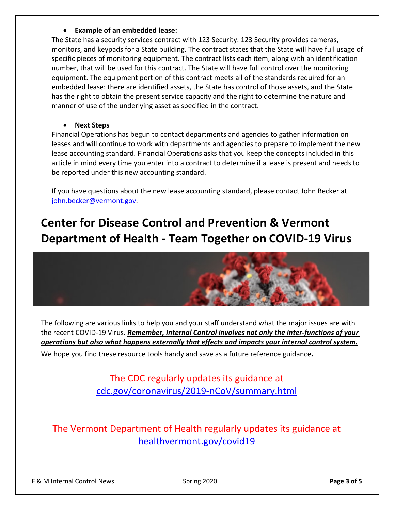#### • **Example of an embedded lease:**

The State has a security services contract with 123 Security. 123 Security provides cameras, monitors, and keypads for a State building. The contract states that the State will have full usage of specific pieces of monitoring equipment. The contract lists each item, along with an identification number, that will be used for this contract. The State will have full control over the monitoring equipment. The equipment portion of this contract meets all of the standards required for an embedded lease: there are identified assets, the State has control of those assets, and the State has the right to obtain the present service capacity and the right to determine the nature and manner of use of the underlying asset as specified in the contract.

#### • **Next Steps**

Financial Operations has begun to contact departments and agencies to gather information on leases and will continue to work with departments and agencies to prepare to implement the new lease accounting standard. Financial Operations asks that you keep the concepts included in this article in mind every time you enter into a contract to determine if a lease is present and needs to be reported under this new accounting standard.

If you have questions about the new lease accounting standard, please contact John Becker at [john.becker@vermont.gov.](mailto:john.becker@vermont.gov)

## **Center for Disease Control and Prevention & Vermont Department of Health - Team Together on COVID-19 Virus**



The following are various links to help you and your staff understand what the major issues are with the recent COVID-19 Virus. *Remember, Internal Control involves not only the inter-functions of your operations but also what happens externally that effects and impacts your internal control system.*

We hope you find these resource tools handy and save as a future reference guidance.

The CDC regularly updates its guidance at [cdc.gov/coronavirus/2019-nCoV/summary.html](https://www.cdc.gov/coronavirus/2019-nCoV/summary.html)

The Vermont Department of Health regularly updates its guidance at [healthvermont.gov/covid19](https://www.healthvermont.gov/covid19)

F & M Internal Control News Spring 2020 **Page 3 of 5**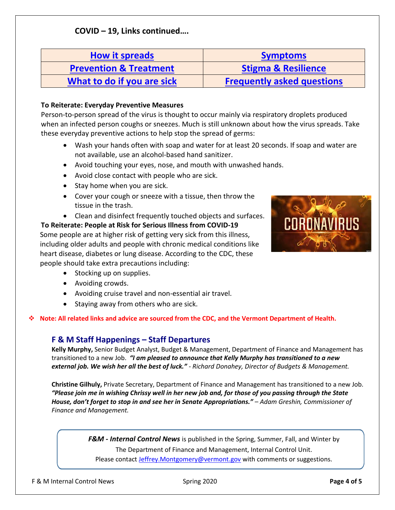### **COVID – 19, Links continued….**

| <b>How it spreads</b>             | <b>Symptoms</b>                   |
|-----------------------------------|-----------------------------------|
| <b>Prevention &amp; Treatment</b> | <b>Stigma &amp; Resilience</b>    |
| What to do if you are sick        | <b>Frequently asked questions</b> |

#### **To Reiterate: Everyday Preventive Measures**

Person-to-person spread of the virus is thought to occur mainly via respiratory droplets produced when an infected person coughs or sneezes. Much is still unknown about how the virus spreads. Take these everyday preventive actions to help stop the spread of germs:

- Wash your hands often with soap and water for at least 20 seconds. If soap and water are not available, use an alcohol-based hand sanitizer.
- Avoid touching your eyes, nose, and mouth with unwashed hands.
- Avoid close contact with people who are sick.
- Stay home when you are sick.
- Cover your cough or sneeze with a tissue, then throw the tissue in the trash.
- Clean and disinfect frequently touched objects and surfaces.

**To Reiterate: People at Risk for Serious Illness from COVID-19** Some people are at higher risk of getting very sick from this illness, including older adults and people with chronic medical conditions like heart disease, diabetes or lung disease. According to the CDC, these people should take extra precautions including:

- Stocking up on supplies.
- Avoiding crowds.
- Avoiding cruise travel and non-essential air travel.
- Staying away from others who are sick.

**Note: All related links and advice are sourced from the CDC, and the Vermont Department of Health.**

#### **F & M Staff Happenings – Staff Departures**

**Kelly Murphy,** Senior Budget Analyst, Budget & Management, Department of Finance and Management has transitioned to a new Job. *"I am pleased to announce that Kelly Murphy has transitioned to a new external job. We wish her all the best of luck." - Richard Donahey, Director of Budgets & Management.* 

**Christine Gilhuly,** Private Secretary, Department of Finance and Management has transitioned to a new Job. *"Please join me in wishing Chrissy well in her new job and, for those of you passing through the State House, don't forget to stop in and see her in Senate Appropriations." – Adam Greshin, Commissioner of Finance and Management.* 

> *F&M - Internal Control News* is published in the Spring, Summer, Fall, and Winter by The Department of Finance and Management, Internal Control Unit. Please contact [Jeffrey.Montgomery@vermont.gov](mailto:Jeffrey.Montgomery@vermont.gov) with comments or suggestions.